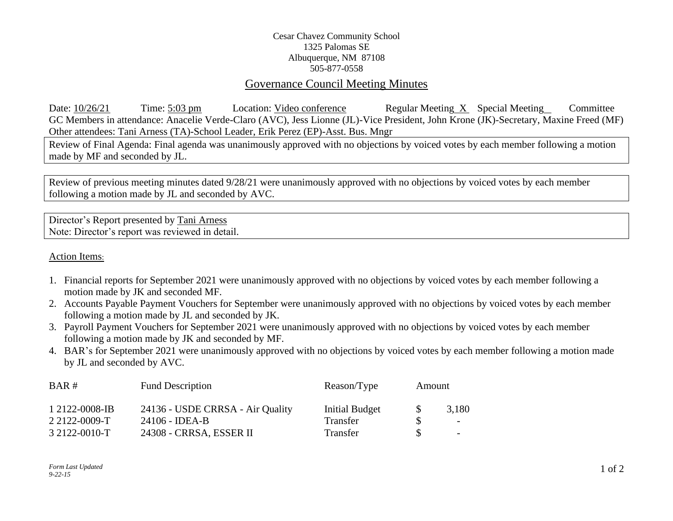## Cesar Chavez Community School 1325 Palomas SE Albuquerque, NM 87108 505-877-0558

## Governance Council Meeting Minutes

Date: 10/26/21 Time: 5:03 pm Location: Video conference Regular Meeting X Special Meeting Committee GC Members in attendance: Anacelie Verde-Claro (AVC), Jess Lionne (JL)-Vice President, John Krone (JK)-Secretary, Maxine Freed (MF) Other attendees: Tani Arness (TA)-School Leader, Erik Perez (EP)-Asst. Bus. Mngr

Review of Final Agenda: Final agenda was unanimously approved with no objections by voiced votes by each member following a motion made by MF and seconded by JL.

Review of previous meeting minutes dated 9/28/21 were unanimously approved with no objections by voiced votes by each member following a motion made by JL and seconded by AVC.

Director's Report presented by Tani Arness Note: Director's report was reviewed in detail.

Action Items:

- 1. Financial reports for September 2021 were unanimously approved with no objections by voiced votes by each member following a motion made by JK and seconded MF.
- 2. Accounts Payable Payment Vouchers for September were unanimously approved with no objections by voiced votes by each member following a motion made by JL and seconded by JK.
- 3. Payroll Payment Vouchers for September 2021 were unanimously approved with no objections by voiced votes by each member following a motion made by JK and seconded by MF.
- 4. BAR's for September 2021 were unanimously approved with no objections by voiced votes by each member following a motion made by JL and seconded by AVC.

| BAR#           | <b>Fund Description</b>          | Reason/Type    | Amount       |                          |
|----------------|----------------------------------|----------------|--------------|--------------------------|
| 1 2122-0008-IB | 24136 - USDE CRRSA - Air Quality | Initial Budget | <sup>S</sup> | 3,180                    |
| 2 2122-0009-T  | 24106 - IDEA-B                   | Transfer       |              | $\overline{\phantom{a}}$ |
| 3 2122-0010-T  | 24308 - CRRSA, ESSER II          | Transfer       |              | $\overline{\phantom{a}}$ |